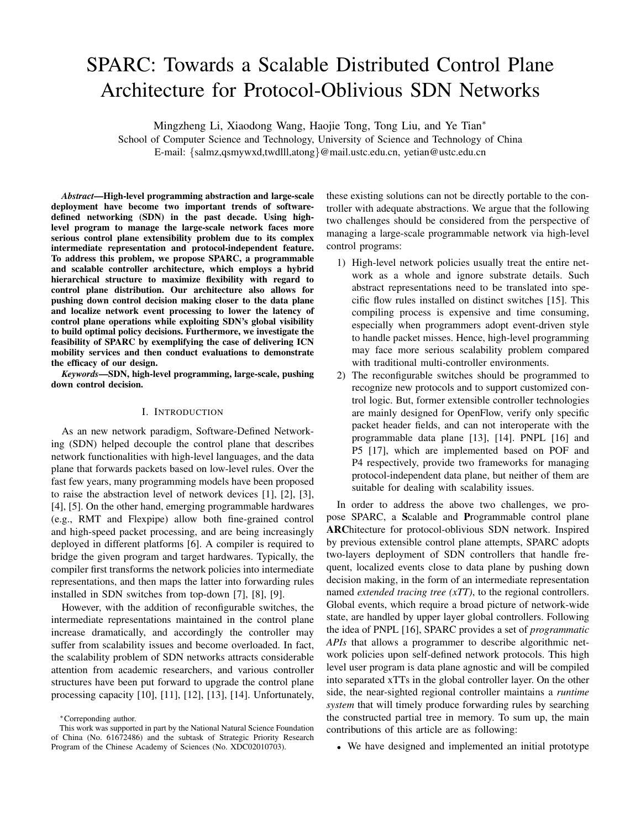# SPARC: Towards a Scalable Distributed Control Plane Architecture for Protocol-Oblivious SDN Networks

Mingzheng Li, Xiaodong Wang, Haojie Tong, Tong Liu, and Ye Tian*<sup>∗</sup>*

School of Computer Science and Technology, University of Science and Technology of China E-mail: *{*salmz,qsmywxd,twdlll,atong*}*@mail.ustc.edu.cn, yetian@ustc.edu.cn

*Abstract*—High-level programming abstraction and large-scale deployment have become two important trends of softwaredefined networking (SDN) in the past decade. Using highlevel program to manage the large-scale network faces more serious control plane extensibility problem due to its complex intermediate representation and protocol-independent feature. To address this problem, we propose SPARC, a programmable and scalable controller architecture, which employs a hybrid hierarchical structure to maximize flexibility with regard to control plane distribution. Our architecture also allows for pushing down control decision making closer to the data plane and localize network event processing to lower the latency of control plane operations while exploiting SDN's global visibility to build optimal policy decisions. Furthermore, we investigate the feasibility of SPARC by exemplifying the case of delivering ICN mobility services and then conduct evaluations to demonstrate the efficacy of our design.

*Keywords*—SDN, high-level programming, large-scale, pushing down control decision.

# I. INTRODUCTION

As an new network paradigm, Software-Defined Networking (SDN) helped decouple the control plane that describes network functionalities with high-level languages, and the data plane that forwards packets based on low-level rules. Over the fast few years, many programming models have been proposed to raise the abstraction level of network devices [1], [2], [3], [4], [5]. On the other hand, emerging programmable hardwares (e.g., RMT and Flexpipe) allow both fine-grained control and high-speed packet processing, and are being increasingly deployed in different platforms [6]. A compiler is required to bridge the given program and target hardwares. Typically, the compiler first transforms the network policies into intermediate representations, and then maps the latter into forwarding rules installed in SDN switches from top-down [7], [8], [9].

However, with the addition of reconfigurable switches, the intermediate representations maintained in the control plane increase dramatically, and accordingly the controller may suffer from scalability issues and become overloaded. In fact, the scalability problem of SDN networks attracts considerable attention from academic researchers, and various controller structures have been put forward to upgrade the control plane processing capacity [10], [11], [12], [13], [14]. Unfortunately, these existing solutions can not be directly portable to the controller with adequate abstractions. We argue that the following two challenges should be considered from the perspective of managing a large-scale programmable network via high-level control programs:

- 1) High-level network policies usually treat the entire network as a whole and ignore substrate details. Such abstract representations need to be translated into specific flow rules installed on distinct switches [15]. This compiling process is expensive and time consuming, especially when programmers adopt event-driven style to handle packet misses. Hence, high-level programming may face more serious scalability problem compared with traditional multi-controller environments.
- 2) The reconfigurable switches should be programmed to recognize new protocols and to support customized control logic. But, former extensible controller technologies are mainly designed for OpenFlow, verify only specific packet header fields, and can not interoperate with the programmable data plane [13], [14]. PNPL [16] and P5 [17], which are implemented based on POF and P4 respectively, provide two frameworks for managing protocol-independent data plane, but neither of them are suitable for dealing with scalability issues.

In order to address the above two challenges, we propose SPARC, a Scalable and Programmable control plane ARChitecture for protocol-oblivious SDN network. Inspired by previous extensible control plane attempts, SPARC adopts two-layers deployment of SDN controllers that handle frequent, localized events close to data plane by pushing down decision making, in the form of an intermediate representation named *extended tracing tree (xTT)*, to the regional controllers. Global events, which require a broad picture of network-wide state, are handled by upper layer global controllers. Following the idea of PNPL [16], SPARC provides a set of *programmatic APIs* that allows a programmer to describe algorithmic network policies upon self-defined network protocols. This high level user program is data plane agnostic and will be compiled into separated xTTs in the global controller layer. On the other side, the near-sighted regional controller maintains a *runtime system* that will timely produce forwarding rules by searching the constructed partial tree in memory. To sum up, the main contributions of this article are as following:

• We have designed and implemented an initial prototype

*<sup>∗</sup>*Correponding author.

This work was supported in part by the National Natural Science Foundation of China (No. 61672486) and the subtask of Strategic Priority Research Program of the Chinese Academy of Sciences (No. XDC02010703).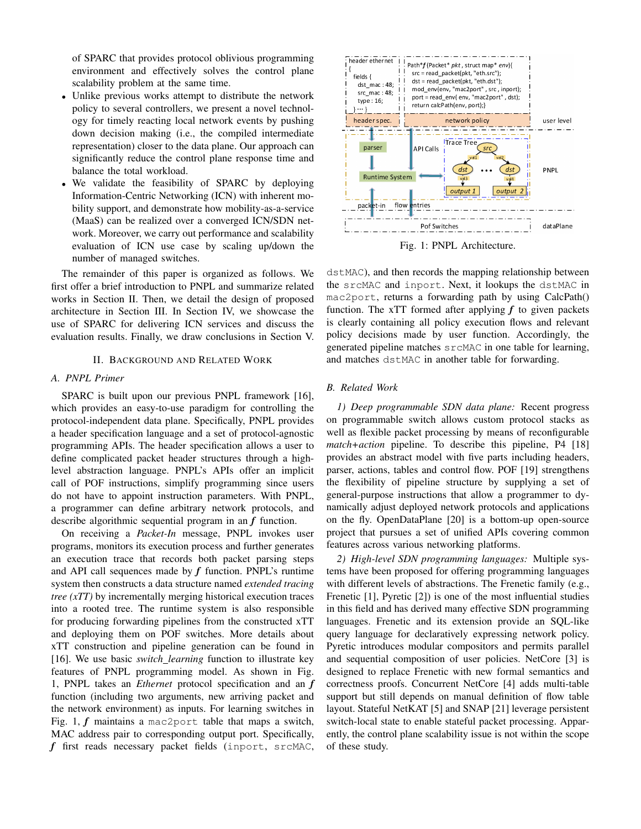of SPARC that provides protocol oblivious programming environment and effectively solves the control plane scalability problem at the same time.

- *•* Unlike previous works attempt to distribute the network policy to several controllers, we present a novel technology for timely reacting local network events by pushing down decision making (i.e., the compiled intermediate representation) closer to the data plane. Our approach can significantly reduce the control plane response time and balance the total workload.
- *•* We validate the feasibility of SPARC by deploying Information-Centric Networking (ICN) with inherent mobility support, and demonstrate how mobility-as-a-service (MaaS) can be realized over a converged ICN/SDN network. Moreover, we carry out performance and scalability evaluation of ICN use case by scaling up/down the number of managed switches.

The remainder of this paper is organized as follows. We first offer a brief introduction to PNPL and summarize related works in Section II. Then, we detail the design of proposed architecture in Section III. In Section IV, we showcase the use of SPARC for delivering ICN services and discuss the evaluation results. Finally, we draw conclusions in Section V.

#### II. BACKGROUND AND RELATED WORK

## *A. PNPL Primer*

SPARC is built upon our previous PNPL framework [16], which provides an easy-to-use paradigm for controlling the protocol-independent data plane. Specifically, PNPL provides a header specification language and a set of protocol-agnostic programming APIs. The header specification allows a user to define complicated packet header structures through a highlevel abstraction language. PNPL's APIs offer an implicit call of POF instructions, simplify programming since users do not have to appoint instruction parameters. With PNPL, a programmer can define arbitrary network protocols, and describe algorithmic sequential program in an *f* function.

On receiving a *Packet-In* message, PNPL invokes user programs, monitors its execution process and further generates an execution trace that records both packet parsing steps and API call sequences made by *f* function. PNPL's runtime system then constructs a data structure named *extended tracing tree (xTT)* by incrementally merging historical execution traces into a rooted tree. The runtime system is also responsible for producing forwarding pipelines from the constructed xTT and deploying them on POF switches. More details about xTT construction and pipeline generation can be found in [16]. We use basic *switch learning* function to illustrate key features of PNPL programming model. As shown in Fig. 1, PNPL takes an *Ethernet* protocol specification and an *f* function (including two arguments, new arriving packet and the network environment) as inputs. For learning switches in Fig. 1, *f* maintains a mac2port table that maps a switch, MAC address pair to corresponding output port. Specifically, *f* first reads necessary packet fields (inport, srcMAC,



Fig. 1: PNPL Architecture.

dstMAC), and then records the mapping relationship between the srcMAC and inport. Next, it lookups the dstMAC in mac2port, returns a forwarding path by using CalcPath() function. The xTT formed after applying  $f$  to given packets is clearly containing all policy execution flows and relevant policy decisions made by user function. Accordingly, the generated pipeline matches srcMAC in one table for learning, and matches dstMAC in another table for forwarding.

#### *B. Related Work*

*1) Deep programmable SDN data plane:* Recent progress on programmable switch allows custom protocol stacks as well as flexible packet processing by means of reconfigurable *match+action* pipeline. To describe this pipeline, P4 [18] provides an abstract model with five parts including headers, parser, actions, tables and control flow. POF [19] strengthens the flexibility of pipeline structure by supplying a set of general-purpose instructions that allow a programmer to dynamically adjust deployed network protocols and applications on the fly. OpenDataPlane [20] is a bottom-up open-source project that pursues a set of unified APIs covering common features across various networking platforms.

*2) High-level SDN programming languages:* Multiple systems have been proposed for offering programming languages with different levels of abstractions. The Frenetic family (e.g., Frenetic [1], Pyretic [2]) is one of the most influential studies in this field and has derived many effective SDN programming languages. Frenetic and its extension provide an SQL-like query language for declaratively expressing network policy. Pyretic introduces modular compositors and permits parallel and sequential composition of user policies. NetCore [3] is designed to replace Frenetic with new formal semantics and correctness proofs. Concurrent NetCore [4] adds multi-table support but still depends on manual definition of flow table layout. Stateful NetKAT [5] and SNAP [21] leverage persistent switch-local state to enable stateful packet processing. Apparently, the control plane scalability issue is not within the scope of these study.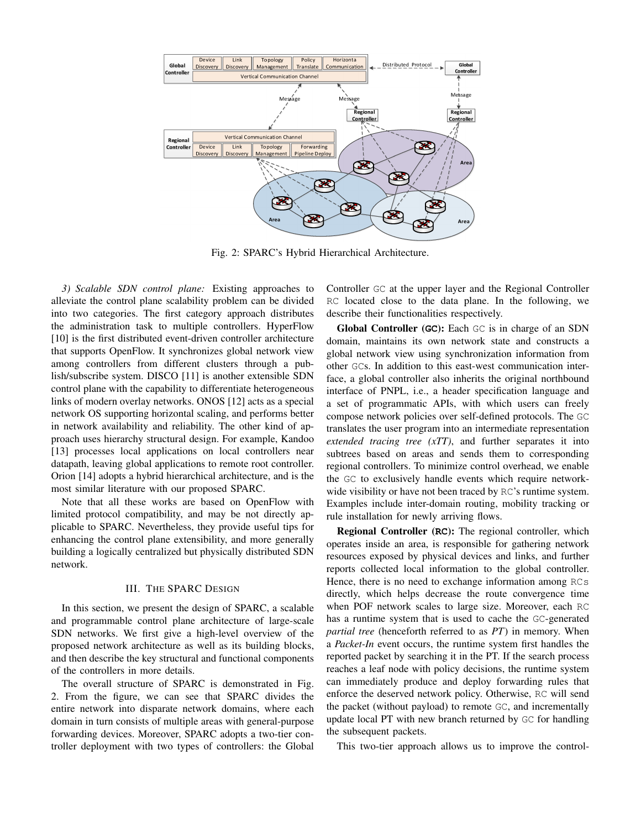

Fig. 2: SPARC's Hybrid Hierarchical Architecture.

*3) Scalable SDN control plane:* Existing approaches to alleviate the control plane scalability problem can be divided into two categories. The first category approach distributes the administration task to multiple controllers. HyperFlow [10] is the first distributed event-driven controller architecture that supports OpenFlow. It synchronizes global network view among controllers from different clusters through a publish/subscribe system. DISCO [11] is another extensible SDN control plane with the capability to differentiate heterogeneous links of modern overlay networks. ONOS [12] acts as a special network OS supporting horizontal scaling, and performs better in network availability and reliability. The other kind of approach uses hierarchy structural design. For example, Kandoo [13] processes local applications on local controllers near datapath, leaving global applications to remote root controller. Orion [14] adopts a hybrid hierarchical architecture, and is the most similar literature with our proposed SPARC.

Note that all these works are based on OpenFlow with limited protocol compatibility, and may be not directly applicable to SPARC. Nevertheless, they provide useful tips for enhancing the control plane extensibility, and more generally building a logically centralized but physically distributed SDN network.

# III. THE SPARC DESIGN

In this section, we present the design of SPARC, a scalable and programmable control plane architecture of large-scale SDN networks. We first give a high-level overview of the proposed network architecture as well as its building blocks, and then describe the key structural and functional components of the controllers in more details.

The overall structure of SPARC is demonstrated in Fig. 2. From the figure, we can see that SPARC divides the entire network into disparate network domains, where each domain in turn consists of multiple areas with general-purpose forwarding devices. Moreover, SPARC adopts a two-tier controller deployment with two types of controllers: the Global Controller GC at the upper layer and the Regional Controller RC located close to the data plane. In the following, we describe their functionalities respectively.

Global Controller (**GC**): Each GC is in charge of an SDN domain, maintains its own network state and constructs a global network view using synchronization information from other GCs. In addition to this east-west communication interface, a global controller also inherits the original northbound interface of PNPL, i.e., a header specification language and a set of programmatic APIs, with which users can freely compose network policies over self-defined protocols. The GC translates the user program into an intermediate representation *extended tracing tree (xTT)*, and further separates it into subtrees based on areas and sends them to corresponding regional controllers. To minimize control overhead, we enable the GC to exclusively handle events which require networkwide visibility or have not been traced by RC's runtime system. Examples include inter-domain routing, mobility tracking or rule installation for newly arriving flows.

Regional Controller (**RC**): The regional controller, which operates inside an area, is responsible for gathering network resources exposed by physical devices and links, and further reports collected local information to the global controller. Hence, there is no need to exchange information among RCs directly, which helps decrease the route convergence time when POF network scales to large size. Moreover, each RC has a runtime system that is used to cache the GC-generated *partial tree* (henceforth referred to as *PT*) in memory. When a *Packet-In* event occurs, the runtime system first handles the reported packet by searching it in the PT. If the search process reaches a leaf node with policy decisions, the runtime system can immediately produce and deploy forwarding rules that enforce the deserved network policy. Otherwise, RC will send the packet (without payload) to remote GC, and incrementally update local PT with new branch returned by GC for handling the subsequent packets.

This two-tier approach allows us to improve the control-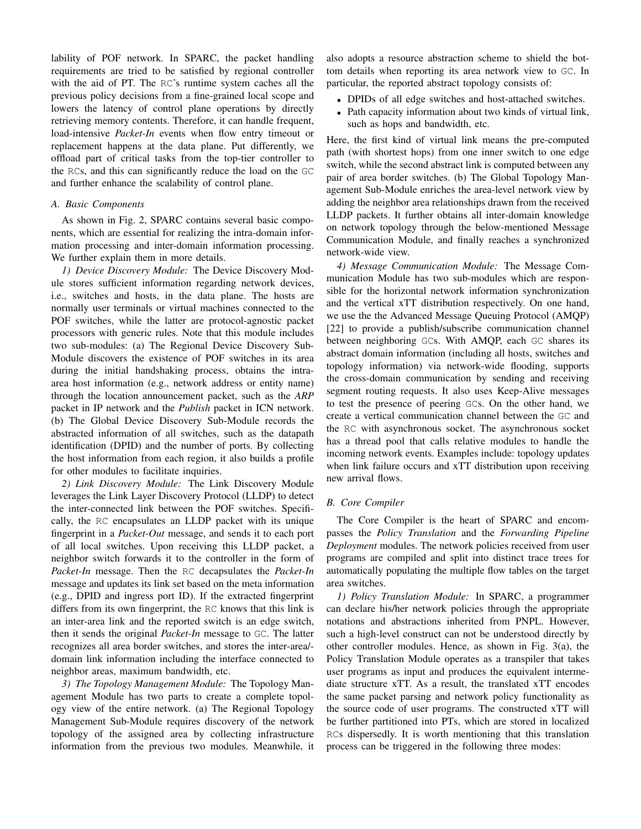lability of POF network. In SPARC, the packet handling requirements are tried to be satisfied by regional controller with the aid of PT. The RC's runtime system caches all the previous policy decisions from a fine-grained local scope and lowers the latency of control plane operations by directly retrieving memory contents. Therefore, it can handle frequent, load-intensive *Packet-In* events when flow entry timeout or replacement happens at the data plane. Put differently, we offload part of critical tasks from the top-tier controller to the RCs, and this can significantly reduce the load on the GC and further enhance the scalability of control plane.

#### *A. Basic Components*

As shown in Fig. 2, SPARC contains several basic components, which are essential for realizing the intra-domain information processing and inter-domain information processing. We further explain them in more details.

*1) Device Discovery Module:* The Device Discovery Module stores sufficient information regarding network devices, i.e., switches and hosts, in the data plane. The hosts are normally user terminals or virtual machines connected to the POF switches, while the latter are protocol-agnostic packet processors with generic rules. Note that this module includes two sub-modules: (a) The Regional Device Discovery Sub-Module discovers the existence of POF switches in its area during the initial handshaking process, obtains the intraarea host information (e.g., network address or entity name) through the location announcement packet, such as the *ARP* packet in IP network and the *Publish* packet in ICN network. (b) The Global Device Discovery Sub-Module records the abstracted information of all switches, such as the datapath identification (DPID) and the number of ports. By collecting the host information from each region, it also builds a profile for other modules to facilitate inquiries.

*2) Link Discovery Module:* The Link Discovery Module leverages the Link Layer Discovery Protocol (LLDP) to detect the inter-connected link between the POF switches. Specifically, the RC encapsulates an LLDP packet with its unique fingerprint in a *Packet-Out* message, and sends it to each port of all local switches. Upon receiving this LLDP packet, a neighbor switch forwards it to the controller in the form of *Packet-In* message. Then the RC decapsulates the *Packet-In* message and updates its link set based on the meta information (e.g., DPID and ingress port ID). If the extracted fingerprint differs from its own fingerprint, the RC knows that this link is an inter-area link and the reported switch is an edge switch, then it sends the original *Packet-In* message to GC. The latter recognizes all area border switches, and stores the inter-area/ domain link information including the interface connected to neighbor areas, maximum bandwidth, etc.

*3) The Topology Management Module:* The Topology Management Module has two parts to create a complete topology view of the entire network. (a) The Regional Topology Management Sub-Module requires discovery of the network topology of the assigned area by collecting infrastructure information from the previous two modules. Meanwhile, it also adopts a resource abstraction scheme to shield the bottom details when reporting its area network view to GC. In particular, the reported abstract topology consists of:

- *•* DPIDs of all edge switches and host-attached switches.
- *•* Path capacity information about two kinds of virtual link, such as hops and bandwidth, etc.

Here, the first kind of virtual link means the pre-computed path (with shortest hops) from one inner switch to one edge switch, while the second abstract link is computed between any pair of area border switches. (b) The Global Topology Management Sub-Module enriches the area-level network view by adding the neighbor area relationships drawn from the received LLDP packets. It further obtains all inter-domain knowledge on network topology through the below-mentioned Message Communication Module, and finally reaches a synchronized network-wide view.

*4) Message Communication Module:* The Message Communication Module has two sub-modules which are responsible for the horizontal network information synchronization and the vertical xTT distribution respectively. On one hand, we use the the Advanced Message Queuing Protocol (AMQP) [22] to provide a publish/subscribe communication channel between neighboring GCs. With AMQP, each GC shares its abstract domain information (including all hosts, switches and topology information) via network-wide flooding, supports the cross-domain communication by sending and receiving segment routing requests. It also uses Keep-Alive messages to test the presence of peering GCs. On the other hand, we create a vertical communication channel between the GC and the RC with asynchronous socket. The asynchronous socket has a thread pool that calls relative modules to handle the incoming network events. Examples include: topology updates when link failure occurs and xTT distribution upon receiving new arrival flows.

# *B. Core Compiler*

The Core Compiler is the heart of SPARC and encompasses the *Policy Translation* and the *Forwarding Pipeline Deployment* modules. The network policies received from user programs are compiled and split into distinct trace trees for automatically populating the multiple flow tables on the target area switches.

*1) Policy Translation Module:* In SPARC, a programmer can declare his/her network policies through the appropriate notations and abstractions inherited from PNPL. However, such a high-level construct can not be understood directly by other controller modules. Hence, as shown in Fig. 3(a), the Policy Translation Module operates as a transpiler that takes user programs as input and produces the equivalent intermediate structure xTT. As a result, the translated xTT encodes the same packet parsing and network policy functionality as the source code of user programs. The constructed xTT will be further partitioned into PTs, which are stored in localized RCs dispersedly. It is worth mentioning that this translation process can be triggered in the following three modes: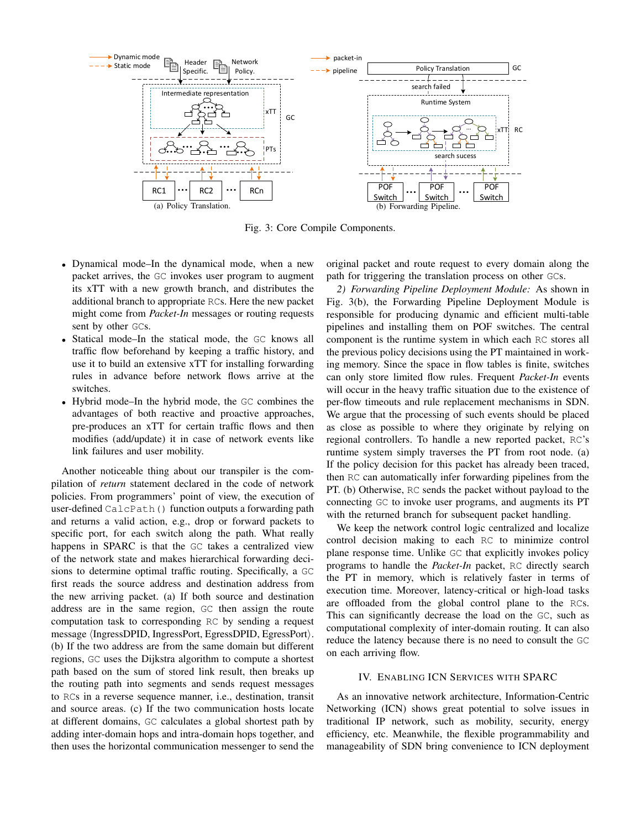

Fig. 3: Core Compile Components.

- *•* Dynamical mode–In the dynamical mode, when a new packet arrives, the GC invokes user program to augment its xTT with a new growth branch, and distributes the additional branch to appropriate RCs. Here the new packet might come from *Packet-In* messages or routing requests sent by other GCs.
- *•* Statical mode–In the statical mode, the GC knows all traffic flow beforehand by keeping a traffic history, and use it to build an extensive xTT for installing forwarding rules in advance before network flows arrive at the switches.
- *•* Hybrid mode–In the hybrid mode, the GC combines the advantages of both reactive and proactive approaches, pre-produces an xTT for certain traffic flows and then modifies (add/update) it in case of network events like link failures and user mobility.

Another noticeable thing about our transpiler is the compilation of *return* statement declared in the code of network policies. From programmers' point of view, the execution of user-defined CalcPath() function outputs a forwarding path and returns a valid action, e.g., drop or forward packets to specific port, for each switch along the path. What really happens in SPARC is that the GC takes a centralized view of the network state and makes hierarchical forwarding decisions to determine optimal traffic routing. Specifically, a GC first reads the source address and destination address from the new arriving packet. (a) If both source and destination address are in the same region, GC then assign the route computation task to corresponding RC by sending a request message *⟨*IngressDPID, IngressPort, EgressDPID, EgressPort*⟩*. (b) If the two address are from the same domain but different regions, GC uses the Dijkstra algorithm to compute a shortest path based on the sum of stored link result, then breaks up the routing path into segments and sends request messages to RCs in a reverse sequence manner, i.e., destination, transit and source areas. (c) If the two communication hosts locate at different domains, GC calculates a global shortest path by adding inter-domain hops and intra-domain hops together, and then uses the horizontal communication messenger to send the original packet and route request to every domain along the path for triggering the translation process on other GCs.

*2) Forwarding Pipeline Deployment Module:* As shown in Fig. 3(b), the Forwarding Pipeline Deployment Module is responsible for producing dynamic and efficient multi-table pipelines and installing them on POF switches. The central component is the runtime system in which each RC stores all the previous policy decisions using the PT maintained in working memory. Since the space in flow tables is finite, switches can only store limited flow rules. Frequent *Packet-In* events will occur in the heavy traffic situation due to the existence of per-flow timeouts and rule replacement mechanisms in SDN. We argue that the processing of such events should be placed as close as possible to where they originate by relying on regional controllers. To handle a new reported packet, RC's runtime system simply traverses the PT from root node. (a) If the policy decision for this packet has already been traced, then RC can automatically infer forwarding pipelines from the PT. (b) Otherwise, RC sends the packet without payload to the connecting GC to invoke user programs, and augments its PT with the returned branch for subsequent packet handling.

We keep the network control logic centralized and localize control decision making to each RC to minimize control plane response time. Unlike GC that explicitly invokes policy programs to handle the *Packet-In* packet, RC directly search the PT in memory, which is relatively faster in terms of execution time. Moreover, latency-critical or high-load tasks are offloaded from the global control plane to the RCs. This can significantly decrease the load on the GC, such as computational complexity of inter-domain routing. It can also reduce the latency because there is no need to consult the GC on each arriving flow.

# IV. ENABLING ICN SERVICES WITH SPARC

As an innovative network architecture, Information-Centric Networking (ICN) shows great potential to solve issues in traditional IP network, such as mobility, security, energy efficiency, etc. Meanwhile, the flexible programmability and manageability of SDN bring convenience to ICN deployment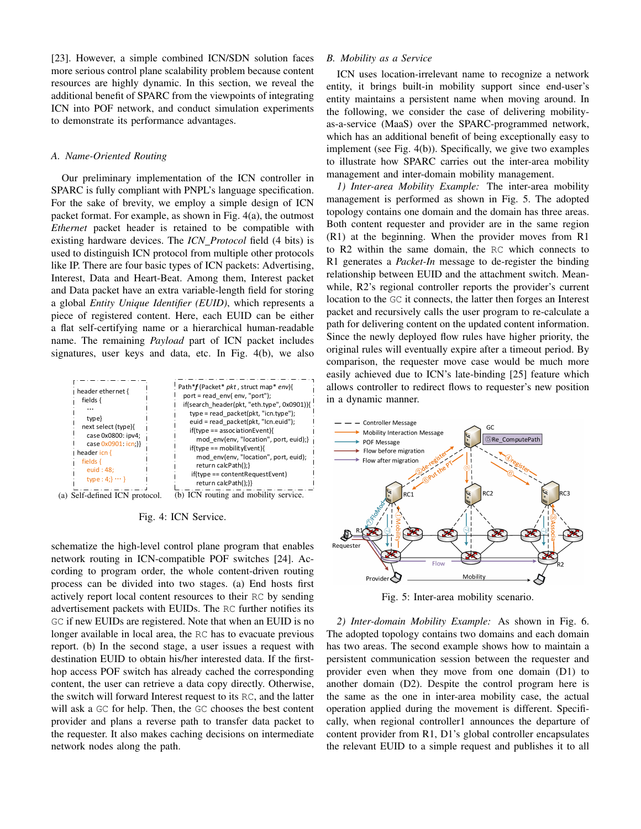[23]. However, a simple combined ICN/SDN solution faces more serious control plane scalability problem because content resources are highly dynamic. In this section, we reveal the additional benefit of SPARC from the viewpoints of integrating ICN into POF network, and conduct simulation experiments to demonstrate its performance advantages.

#### *A. Name-Oriented Routing*

Our preliminary implementation of the ICN controller in SPARC is fully compliant with PNPL's language specification. For the sake of brevity, we employ a simple design of ICN packet format. For example, as shown in Fig. 4(a), the outmost *Ethernet* packet header is retained to be compatible with existing hardware devices. The *ICN Protocol* field (4 bits) is used to distinguish ICN protocol from multiple other protocols like IP. There are four basic types of ICN packets: Advertising, Interest, Data and Heart-Beat. Among them, Interest packet and Data packet have an extra variable-length field for storing a global *Entity Unique Identifier (EUID)*, which represents a piece of registered content. Here, each EUID can be either a flat self-certifying name or a hierarchical human-readable name. The remaining *Payload* part of ICN packet includes signatures, user keys and data, etc. In Fig. 4(b), we also



Fig. 4: ICN Service.

schematize the high-level control plane program that enables network routing in ICN-compatible POF switches [24]. According to program order, the whole content-driven routing process can be divided into two stages. (a) End hosts first actively report local content resources to their RC by sending advertisement packets with EUIDs. The RC further notifies its GC if new EUIDs are registered. Note that when an EUID is no longer available in local area, the RC has to evacuate previous report. (b) In the second stage, a user issues a request with destination EUID to obtain his/her interested data. If the firsthop access POF switch has already cached the corresponding content, the user can retrieve a data copy directly. Otherwise, the switch will forward Interest request to its RC, and the latter will ask a GC for help. Then, the GC chooses the best content provider and plans a reverse path to transfer data packet to the requester. It also makes caching decisions on intermediate network nodes along the path.

# *B. Mobility as a Service*

ICN uses location-irrelevant name to recognize a network entity, it brings built-in mobility support since end-user's entity maintains a persistent name when moving around. In the following, we consider the case of delivering mobilityas-a-service (MaaS) over the SPARC-programmed network, which has an additional benefit of being exceptionally easy to implement (see Fig. 4(b)). Specifically, we give two examples to illustrate how SPARC carries out the inter-area mobility management and inter-domain mobility management.

*1) Inter-area Mobility Example:* The inter-area mobility management is performed as shown in Fig. 5. The adopted topology contains one domain and the domain has three areas. Both content requester and provider are in the same region (R1) at the beginning. When the provider moves from R1 to R2 within the same domain, the RC which connects to R1 generates a *Packet-In* message to de-register the binding relationship between EUID and the attachment switch. Meanwhile, R2's regional controller reports the provider's current location to the GC it connects, the latter then forges an Interest packet and recursively calls the user program to re-calculate a path for delivering content on the updated content information. Since the newly deployed flow rules have higher priority, the original rules will eventually expire after a timeout period. By comparison, the requester move case would be much more easily achieved due to ICN's late-binding [25] feature which allows controller to redirect flows to requester's new position in a dynamic manner.



Fig. 5: Inter-area mobility scenario.

*2) Inter-domain Mobility Example:* As shown in Fig. 6. The adopted topology contains two domains and each domain has two areas. The second example shows how to maintain a persistent communication session between the requester and provider even when they move from one domain (D1) to another domain (D2). Despite the control program here is the same as the one in inter-area mobility case, the actual operation applied during the movement is different. Specifically, when regional controller1 announces the departure of content provider from R1, D1's global controller encapsulates the relevant EUID to a simple request and publishes it to all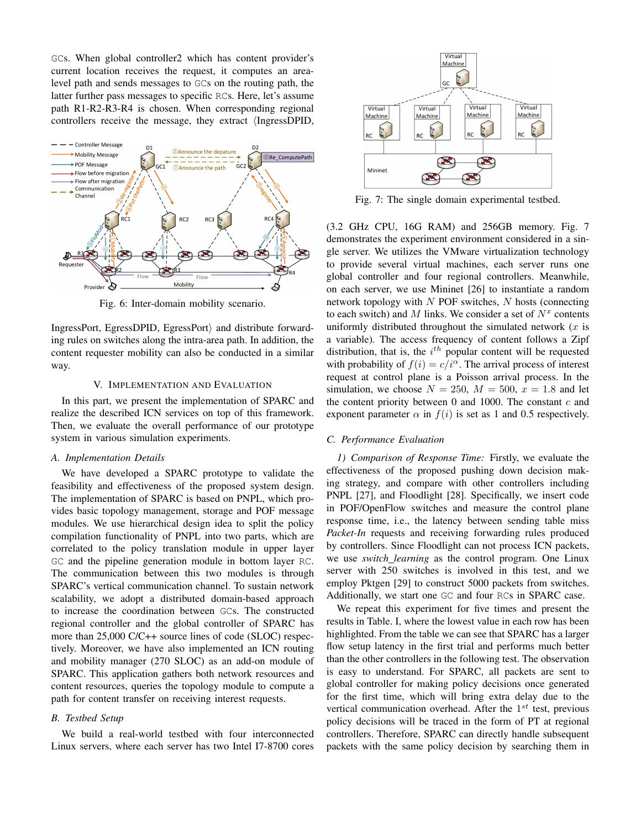GCs. When global controller2 which has content provider's current location receives the request, it computes an arealevel path and sends messages to GCs on the routing path, the latter further pass messages to specific RCs. Here, let's assume path R1-R2-R3-R4 is chosen. When corresponding regional controllers receive the message, they extract *⟨*IngressDPID,



Fig. 6: Inter-domain mobility scenario.

IngressPort, EgressDPID, EgressPort*⟩* and distribute forwarding rules on switches along the intra-area path. In addition, the content requester mobility can also be conducted in a similar way.

# V. IMPLEMENTATION AND EVALUATION

In this part, we present the implementation of SPARC and realize the described ICN services on top of this framework. Then, we evaluate the overall performance of our prototype system in various simulation experiments.

#### *A. Implementation Details*

We have developed a SPARC prototype to validate the feasibility and effectiveness of the proposed system design. The implementation of SPARC is based on PNPL, which provides basic topology management, storage and POF message modules. We use hierarchical design idea to split the policy compilation functionality of PNPL into two parts, which are correlated to the policy translation module in upper layer GC and the pipeline generation module in bottom layer RC. The communication between this two modules is through SPARC's vertical communication channel. To sustain network scalability, we adopt a distributed domain-based approach to increase the coordination between GCs. The constructed regional controller and the global controller of SPARC has more than 25,000 C/C++ source lines of code (SLOC) respectively. Moreover, we have also implemented an ICN routing and mobility manager (270 SLOC) as an add-on module of SPARC. This application gathers both network resources and content resources, queries the topology module to compute a path for content transfer on receiving interest requests.

# *B. Testbed Setup*

We build a real-world testbed with four interconnected Linux servers, where each server has two Intel I7-8700 cores



Fig. 7: The single domain experimental testbed.

(3.2 GHz CPU, 16G RAM) and 256GB memory. Fig. 7 demonstrates the experiment environment considered in a single server. We utilizes the VMware virtualization technology to provide several virtual machines, each server runs one global controller and four regional controllers. Meanwhile, on each server, we use Mininet [26] to instantiate a random network topology with *N* POF switches, *N* hosts (connecting to each switch) and  $M$  links. We consider a set of  $N^x$  contents uniformly distributed throughout the simulated network (*x* is a variable). The access frequency of content follows a Zipf distribution, that is, the *i th* popular content will be requested with probability of  $f(i) = c/i^{\alpha}$ . The arrival process of interest request at control plane is a Poisson arrival process. In the simulation, we choose  $N = 250$ ,  $M = 500$ ,  $x = 1.8$  and let the content priority between 0 and 1000. The constant *c* and exponent parameter  $\alpha$  in  $f(i)$  is set as 1 and 0.5 respectively.

# *C. Performance Evaluation*

*1) Comparison of Response Time:* Firstly, we evaluate the effectiveness of the proposed pushing down decision making strategy, and compare with other controllers including PNPL [27], and Floodlight [28]. Specifically, we insert code in POF/OpenFlow switches and measure the control plane response time, i.e., the latency between sending table miss *Packet-In* requests and receiving forwarding rules produced by controllers. Since Floodlight can not process ICN packets, we use *switch learning* as the control program. One Linux server with 250 switches is involved in this test, and we employ Pktgen [29] to construct 5000 packets from switches. Additionally, we start one GC and four RCs in SPARC case.

We repeat this experiment for five times and present the results in Table. I, where the lowest value in each row has been highlighted. From the table we can see that SPARC has a larger flow setup latency in the first trial and performs much better than the other controllers in the following test. The observation is easy to understand. For SPARC, all packets are sent to global controller for making policy decisions once generated for the first time, which will bring extra delay due to the vertical communication overhead. After the 1 *st* test, previous policy decisions will be traced in the form of PT at regional controllers. Therefore, SPARC can directly handle subsequent packets with the same policy decision by searching them in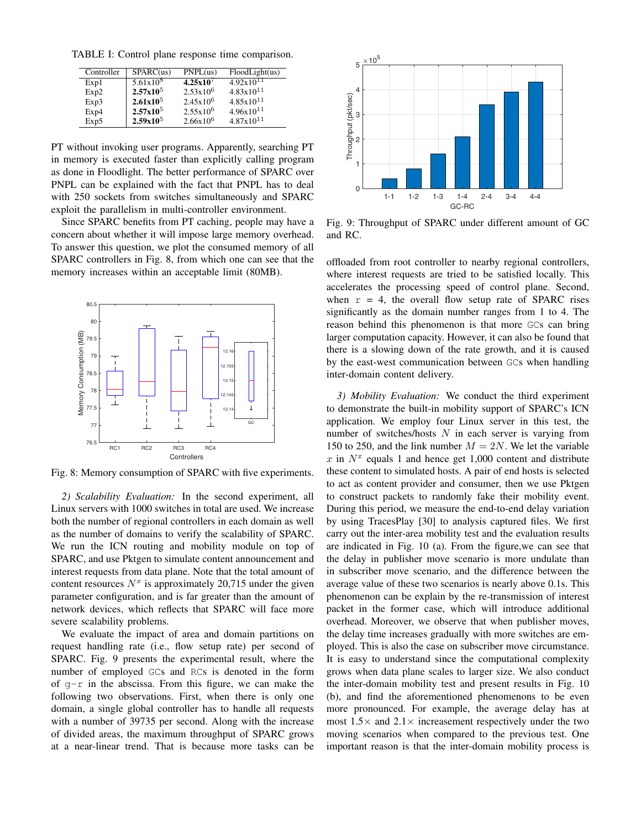TABLE I: Control plane response time comparison.

| Controller | SPARC(us)            | PNPL(us)      | FloodLight(us)        |
|------------|----------------------|---------------|-----------------------|
| Exp1       | 5.61x10 <sup>8</sup> | $4.25x10^{7}$ | $4.92 \times 10^{11}$ |
| Exp2       | $2.57x10^5$          | $2.53x10^{6}$ | $4.83 \times 10^{11}$ |
| Exp3       | $2.61x10^5$          | $2.45x10^{6}$ | $4.85x10^{11}$        |
| Exp4       | $2.57x10^5$          | $2.55x10^{6}$ | $4.96x10^{11}$        |
| Exp5       | $2.59x10^{5}$        | $2.66x10^{6}$ | $4.87 \times 10^{11}$ |

PT without invoking user programs. Apparently, searching PT in memory is executed faster than explicitly calling program as done in Floodlight. The better performance of SPARC over PNPL can be explained with the fact that PNPL has to deal with 250 sockets from switches simultaneously and SPARC exploit the parallelism in multi-controller environment.

Since SPARC benefits from PT caching, people may have a concern about whether it will impose large memory overhead. To answer this question, we plot the consumed memory of all SPARC controllers in Fig. 8, from which one can see that the memory increases within an acceptable limit (80MB).



Fig. 8: Memory consumption of SPARC with five experiments.

*2) Scalability Evaluation:* In the second experiment, all Linux servers with 1000 switches in total are used. We increase both the number of regional controllers in each domain as well as the number of domains to verify the scalability of SPARC. We run the ICN routing and mobility module on top of SPARC, and use Pktgen to simulate content announcement and interest requests from data plane. Note that the total amount of content resources  $N^x$  is approximately 20,715 under the given parameter configuration, and is far greater than the amount of network devices, which reflects that SPARC will face more severe scalability problems.

We evaluate the impact of area and domain partitions on request handling rate (i.e., flow setup rate) per second of SPARC. Fig. 9 presents the experimental result, where the number of employed GCs and RCs is denoted in the form of  $q-r$  in the abscissa. From this figure, we can make the following two observations. First, when there is only one domain, a single global controller has to handle all requests with a number of 39735 per second. Along with the increase of divided areas, the maximum throughput of SPARC grows at a near-linear trend. That is because more tasks can be



Fig. 9: Throughput of SPARC under different amount of GC and RC.

offloaded from root controller to nearby regional controllers, where interest requests are tried to be satisfied locally. This accelerates the processing speed of control plane. Second, when  $r = 4$ , the overall flow setup rate of SPARC rises significantly as the domain number ranges from 1 to 4. The reason behind this phenomenon is that more GCs can bring larger computation capacity. However, it can also be found that there is a slowing down of the rate growth, and it is caused by the east-west communication between GCs when handling inter-domain content delivery.

*3) Mobility Evaluation:* We conduct the third experiment to demonstrate the built-in mobility support of SPARC's ICN application. We employ four Linux server in this test, the number of switches/hosts *N* in each server is varying from 150 to 250, and the link number  $M = 2N$ . We let the variable  $x$  in  $N^x$  equals 1 and hence get 1,000 content and distribute these content to simulated hosts. A pair of end hosts is selected to act as content provider and consumer, then we use Pktgen to construct packets to randomly fake their mobility event. During this period, we measure the end-to-end delay variation by using TracesPlay [30] to analysis captured files. We first carry out the inter-area mobility test and the evaluation results are indicated in Fig. 10 (a). From the figure,we can see that the delay in publisher move scenario is more undulate than in subscriber move scenario, and the difference between the average value of these two scenarios is nearly above 0.1s. This phenomenon can be explain by the re-transmission of interest packet in the former case, which will introduce additional overhead. Moreover, we observe that when publisher moves, the delay time increases gradually with more switches are employed. This is also the case on subscriber move circumstance. It is easy to understand since the computational complexity grows when data plane scales to larger size. We also conduct the inter-domain mobility test and present results in Fig. 10 (b), and find the aforementioned phenomenons to be even more pronounced. For example, the average delay has at most  $1.5\times$  and  $2.1\times$  increasement respectively under the two moving scenarios when compared to the previous test. One important reason is that the inter-domain mobility process is